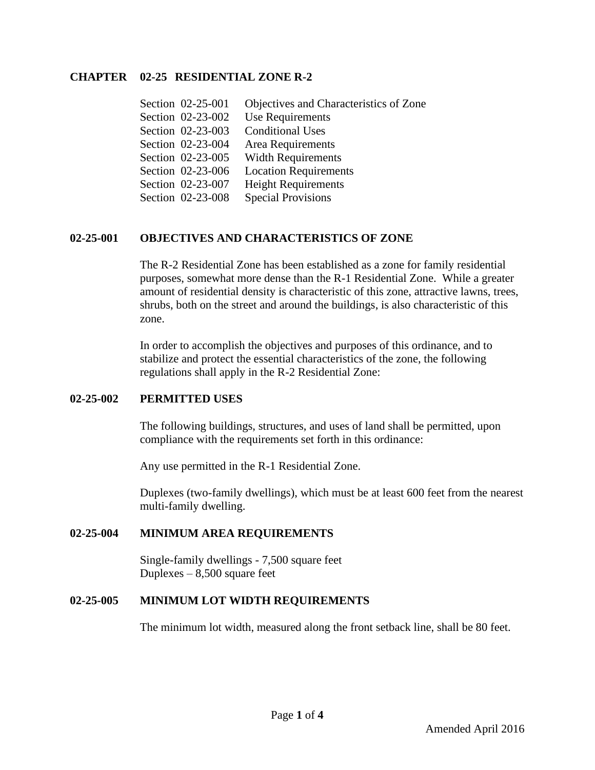### **CHAPTER 02-25 RESIDENTIAL ZONE R-2**

| Section 02-25-001 | Objectives and Characteristics of Zone |
|-------------------|----------------------------------------|
| Section 02-23-002 | Use Requirements                       |
| Section 02-23-003 | <b>Conditional Uses</b>                |
| Section 02-23-004 | Area Requirements                      |
| Section 02-23-005 | <b>Width Requirements</b>              |
| Section 02-23-006 | <b>Location Requirements</b>           |
| Section 02-23-007 | <b>Height Requirements</b>             |
| Section 02-23-008 | <b>Special Provisions</b>              |

#### **02-25-001 OBJECTIVES AND CHARACTERISTICS OF ZONE**

The R-2 Residential Zone has been established as a zone for family residential purposes, somewhat more dense than the R-1 Residential Zone. While a greater amount of residential density is characteristic of this zone, attractive lawns, trees, shrubs, both on the street and around the buildings, is also characteristic of this zone.

In order to accomplish the objectives and purposes of this ordinance, and to stabilize and protect the essential characteristics of the zone, the following regulations shall apply in the R-2 Residential Zone:

#### **02-25-002 PERMITTED USES**

The following buildings, structures, and uses of land shall be permitted, upon compliance with the requirements set forth in this ordinance:

Any use permitted in the R-1 Residential Zone.

Duplexes (two-family dwellings), which must be at least 600 feet from the nearest multi-family dwelling.

#### **02-25-004 MINIMUM AREA REQUIREMENTS**

Single-family dwellings - 7,500 square feet Duplexes – 8,500 square feet

### **02-25-005 MINIMUM LOT WIDTH REQUIREMENTS**

The minimum lot width, measured along the front setback line, shall be 80 feet.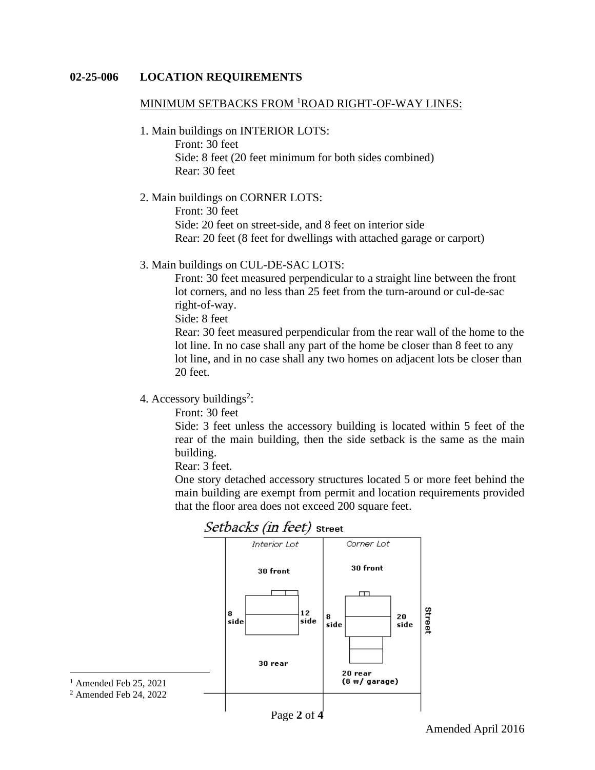### **02-25-006 LOCATION REQUIREMENTS**

### MINIMUM SETBACKS FROM <sup>1</sup>ROAD RIGHT-OF-WAY LINES:

1. Main buildings on INTERIOR LOTS:

Front: 30 feet Side: 8 feet (20 feet minimum for both sides combined) Rear: 30 feet

2. Main buildings on CORNER LOTS:

Front: 30 feet Side: 20 feet on street-side, and 8 feet on interior side Rear: 20 feet (8 feet for dwellings with attached garage or carport)

3. Main buildings on CUL-DE-SAC LOTS:

Front: 30 feet measured perpendicular to a straight line between the front lot corners, and no less than 25 feet from the turn-around or cul-de-sac right-of-way.

Side: 8 feet

Rear: 30 feet measured perpendicular from the rear wall of the home to the lot line. In no case shall any part of the home be closer than 8 feet to any lot line, and in no case shall any two homes on adjacent lots be closer than 20 feet.

4. Accessory buildings<sup>2</sup>:

Front: 30 feet

Side: 3 feet unless the accessory building is located within 5 feet of the rear of the main building, then the side setback is the same as the main building.

Rear: 3 feet.

One story detached accessory structures located 5 or more feet behind the main building are exempt from permit and location requirements provided that the floor area does not exceed 200 square feet.

# Setbacks (in feet) street

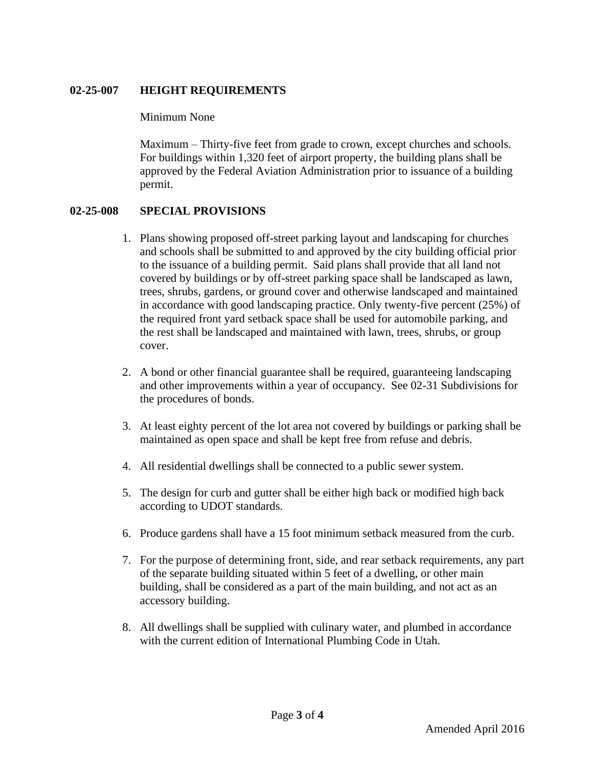# **02-25-007 HEIGHT REQUIREMENTS**

### Minimum None

Maximum – Thirty-five feet from grade to crown, except churches and schools. For buildings within 1,320 feet of airport property, the building plans shall be approved by the Federal Aviation Administration prior to issuance of a building permit.

# **02-25-008 SPECIAL PROVISIONS**

- 1. Plans showing proposed off-street parking layout and landscaping for churches and schools shall be submitted to and approved by the city building official prior to the issuance of a building permit. Said plans shall provide that all land not covered by buildings or by off-street parking space shall be landscaped as lawn, trees, shrubs, gardens, or ground cover and otherwise landscaped and maintained in accordance with good landscaping practice. Only twenty-five percent (25%) of the required front yard setback space shall be used for automobile parking, and the rest shall be landscaped and maintained with lawn, trees, shrubs, or group cover.
- 2. A bond or other financial guarantee shall be required, guaranteeing landscaping and other improvements within a year of occupancy. See 02-31 Subdivisions for the procedures of bonds.
- 3. At least eighty percent of the lot area not covered by buildings or parking shall be maintained as open space and shall be kept free from refuse and debris.
- 4. All residential dwellings shall be connected to a public sewer system.
- 5. The design for curb and gutter shall be either high back or modified high back according to UDOT standards.
- 6. Produce gardens shall have a 15 foot minimum setback measured from the curb.
- 7. For the purpose of determining front, side, and rear setback requirements, any part of the separate building situated within 5 feet of a dwelling, or other main building, shall be considered as a part of the main building, and not act as an accessory building.
- 8. All dwellings shall be supplied with culinary water, and plumbed in accordance with the current edition of International Plumbing Code in Utah.